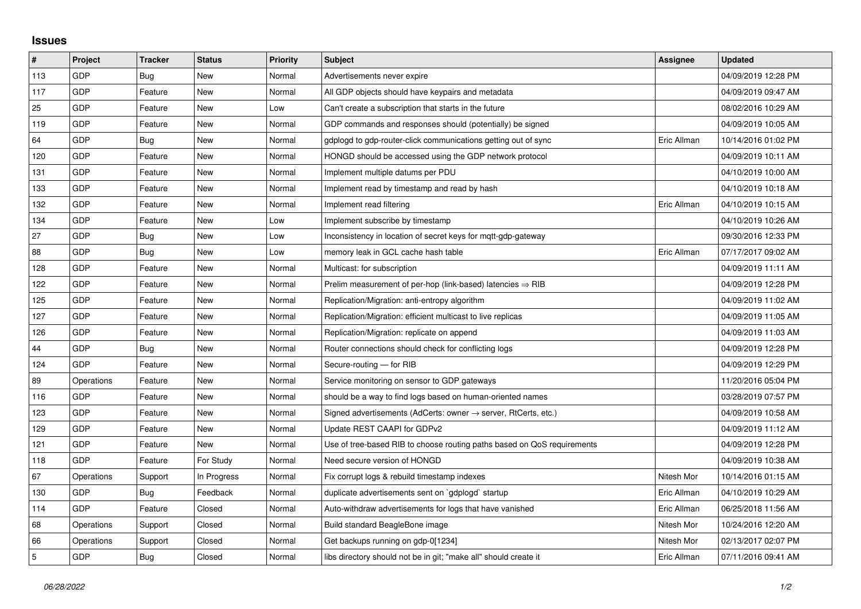## **Issues**

| #   | Project    | <b>Tracker</b> | <b>Status</b> | <b>Priority</b> | <b>Subject</b>                                                             | <b>Assignee</b> | <b>Updated</b>      |
|-----|------------|----------------|---------------|-----------------|----------------------------------------------------------------------------|-----------------|---------------------|
| 113 | GDP        | Bug            | <b>New</b>    | Normal          | Advertisements never expire                                                |                 | 04/09/2019 12:28 PM |
| 117 | GDP        | Feature        | New           | Normal          | All GDP objects should have keypairs and metadata                          |                 | 04/09/2019 09:47 AM |
| 25  | GDP        | Feature        | New           | Low             | Can't create a subscription that starts in the future                      |                 | 08/02/2016 10:29 AM |
| 119 | GDP        | Feature        | <b>New</b>    | Normal          | GDP commands and responses should (potentially) be signed                  |                 | 04/09/2019 10:05 AM |
| 64  | GDP        | Bug            | New           | Normal          | gdplogd to gdp-router-click communications getting out of sync             | Eric Allman     | 10/14/2016 01:02 PM |
| 120 | GDP        | Feature        | New           | Normal          | HONGD should be accessed using the GDP network protocol                    |                 | 04/09/2019 10:11 AM |
| 131 | GDP        | Feature        | <b>New</b>    | Normal          | Implement multiple datums per PDU                                          |                 | 04/10/2019 10:00 AM |
| 133 | GDP        | Feature        | New           | Normal          | Implement read by timestamp and read by hash                               |                 | 04/10/2019 10:18 AM |
| 132 | GDP        | Feature        | New           | Normal          | Implement read filtering                                                   | Eric Allman     | 04/10/2019 10:15 AM |
| 134 | GDP        | Feature        | New           | Low             | Implement subscribe by timestamp                                           |                 | 04/10/2019 10:26 AM |
| 27  | GDP        | Bug            | New           | Low             | Inconsistency in location of secret keys for mqtt-gdp-gateway              |                 | 09/30/2016 12:33 PM |
| 88  | GDP        | Bug            | New           | Low             | memory leak in GCL cache hash table                                        | Eric Allman     | 07/17/2017 09:02 AM |
| 128 | GDP        | Feature        | New           | Normal          | Multicast: for subscription                                                |                 | 04/09/2019 11:11 AM |
| 122 | GDP        | Feature        | New           | Normal          | Prelim measurement of per-hop (link-based) latencies $\Rightarrow$ RIB     |                 | 04/09/2019 12:28 PM |
| 125 | GDP        | Feature        | New           | Normal          | Replication/Migration: anti-entropy algorithm                              |                 | 04/09/2019 11:02 AM |
| 127 | GDP        | Feature        | New           | Normal          | Replication/Migration: efficient multicast to live replicas                |                 | 04/09/2019 11:05 AM |
| 126 | GDP        | Feature        | New           | Normal          | Replication/Migration: replicate on append                                 |                 | 04/09/2019 11:03 AM |
| 44  | GDP        | Bug            | New           | Normal          | Router connections should check for conflicting logs                       |                 | 04/09/2019 12:28 PM |
| 124 | GDP        | Feature        | New           | Normal          | Secure-routing - for RIB                                                   |                 | 04/09/2019 12:29 PM |
| 89  | Operations | Feature        | New           | Normal          | Service monitoring on sensor to GDP gateways                               |                 | 11/20/2016 05:04 PM |
| 116 | GDP        | Feature        | New           | Normal          | should be a way to find logs based on human-oriented names                 |                 | 03/28/2019 07:57 PM |
| 123 | GDP        | Feature        | New           | Normal          | Signed advertisements (AdCerts: owner $\rightarrow$ server, RtCerts, etc.) |                 | 04/09/2019 10:58 AM |
| 129 | GDP        | Feature        | New           | Normal          | Update REST CAAPI for GDPv2                                                |                 | 04/09/2019 11:12 AM |
| 121 | GDP        | Feature        | New           | Normal          | Use of tree-based RIB to choose routing paths based on QoS requirements    |                 | 04/09/2019 12:28 PM |
| 118 | <b>GDP</b> | Feature        | For Study     | Normal          | Need secure version of HONGD                                               |                 | 04/09/2019 10:38 AM |
| 67  | Operations | Support        | In Progress   | Normal          | Fix corrupt logs & rebuild timestamp indexes                               | Nitesh Mor      | 10/14/2016 01:15 AM |
| 130 | GDP        | Bug            | Feedback      | Normal          | duplicate advertisements sent on `gdplogd` startup                         | Eric Allman     | 04/10/2019 10:29 AM |
| 114 | <b>GDP</b> | Feature        | Closed        | Normal          | Auto-withdraw advertisements for logs that have vanished                   | Eric Allman     | 06/25/2018 11:56 AM |
| 68  | Operations | Support        | Closed        | Normal          | Build standard BeagleBone image                                            | Nitesh Mor      | 10/24/2016 12:20 AM |
| 66  | Operations | Support        | Closed        | Normal          | Get backups running on gdp-0[1234]                                         | Nitesh Mor      | 02/13/2017 02:07 PM |
| 5   | GDP        | <b>Bug</b>     | Closed        | Normal          | libs directory should not be in git; "make all" should create it           | Eric Allman     | 07/11/2016 09:41 AM |